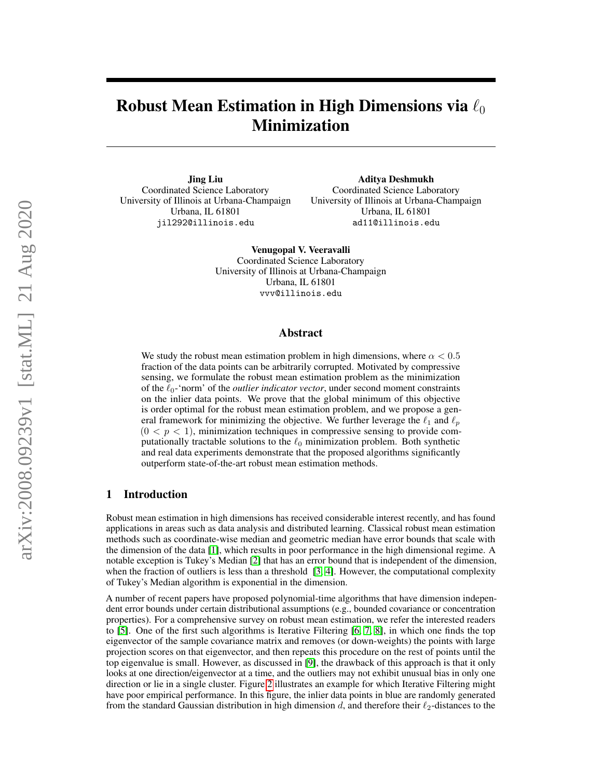# Robust Mean Estimation in High Dimensions via  $\ell_0$ Minimization

Jing Liu Coordinated Science Laboratory University of Illinois at Urbana-Champaign Urbana, IL 61801 jil292@illinois.edu

Aditya Deshmukh Coordinated Science Laboratory University of Illinois at Urbana-Champaign Urbana, IL 61801 ad11@illinois.edu

Venugopal V. Veeravalli Coordinated Science Laboratory University of Illinois at Urbana-Champaign Urbana, IL 61801 vvv@illinois.edu

## Abstract

We study the robust mean estimation problem in high dimensions, where  $\alpha < 0.5$ fraction of the data points can be arbitrarily corrupted. Motivated by compressive sensing, we formulate the robust mean estimation problem as the minimization of the  $\ell_0$ -'norm' of the *outlier indicator vector*, under second moment constraints on the inlier data points. We prove that the global minimum of this objective is order optimal for the robust mean estimation problem, and we propose a general framework for minimizing the objective. We further leverage the  $\ell_1$  and  $\ell_p$  $(0 < p < 1)$ , minimization techniques in compressive sensing to provide computationally tractable solutions to the  $\ell_0$  minimization problem. Both synthetic and real data experiments demonstrate that the proposed algorithms significantly outperform state-of-the-art robust mean estimation methods.

## 1 Introduction

Robust mean estimation in high dimensions has received considerable interest recently, and has found applications in areas such as data analysis and distributed learning. Classical robust mean estimation methods such as coordinate-wise median and geometric median have error bounds that scale with the dimension of the data [\[1\]](#page-9-0), which results in poor performance in the high dimensional regime. A notable exception is Tukey's Median [\[2\]](#page-9-1) that has an error bound that is independent of the dimension, when the fraction of outliers is less than a threshold [\[3,](#page-9-2) [4\]](#page-9-3). However, the computational complexity of Tukey's Median algorithm is exponential in the dimension.

A number of recent papers have proposed polynomial-time algorithms that have dimension independent error bounds under certain distributional assumptions (e.g., bounded covariance or concentration properties). For a comprehensive survey on robust mean estimation, we refer the interested readers to [\[5\]](#page-9-4). One of the first such algorithms is Iterative Filtering [\[6,](#page-10-0) [7,](#page-10-1) [8\]](#page-10-2), in which one finds the top eigenvector of the sample covariance matrix and removes (or down-weights) the points with large projection scores on that eigenvector, and then repeats this procedure on the rest of points until the top eigenvalue is small. However, as discussed in [\[9\]](#page-10-3), the drawback of this approach is that it only looks at one direction/eigenvector at a time, and the outliers may not exhibit unusual bias in only one direction or lie in a single cluster. Figure [2](#page-7-0) illustrates an example for which Iterative Filtering might have poor empirical performance. In this figure, the inlier data points in blue are randomly generated from the standard Gaussian distribution in high dimension d, and therefore their  $\ell_2$ -distances to the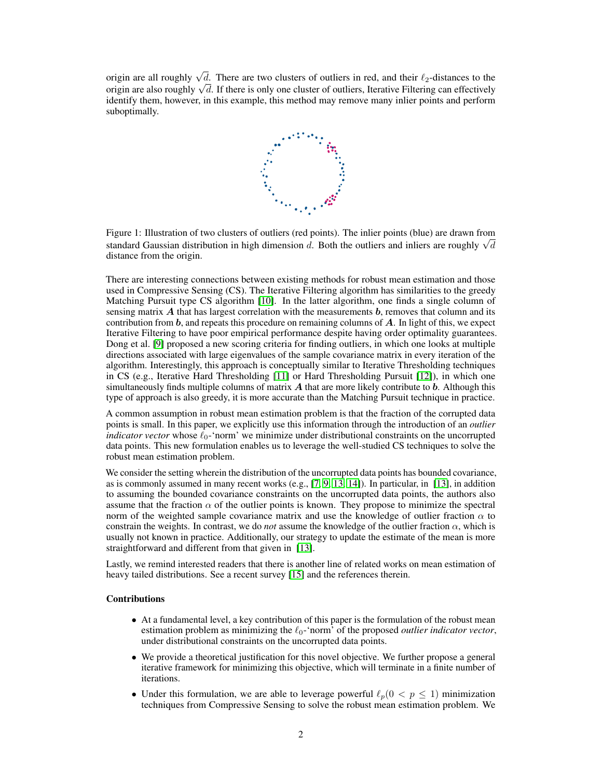origin are all roughly  $\sqrt{d}$ . There are two clusters of outliers in red, and their  $\ell_2$ -distances to the origin are all roughly  $\sqrt{a}$ . There are two clusters or outliers in red, and their  $\ell_2$ -distances to the origin are also roughly  $\sqrt{d}$ . If there is only one cluster of outliers, Iterative Filtering can effectively identify them, however, in this example, this method may remove many inlier points and perform suboptimally.



Figure 1: Illustration of two clusters of outliers (red points). The inlier points (blue) are drawn from Figure 1: Inustration of two clusters of outhers (red points). The infer points (blue) are drawn from<br>standard Gaussian distribution in high dimension d. Both the outliers and inliers are roughly  $\sqrt{d}$ distance from the origin.

There are interesting connections between existing methods for robust mean estimation and those used in Compressive Sensing (CS). The Iterative Filtering algorithm has similarities to the greedy Matching Pursuit type CS algorithm [\[10\]](#page-10-4). In the latter algorithm, one finds a single column of sensing matrix  $\vec{A}$  that has largest correlation with the measurements  $\vec{b}$ , removes that column and its contribution from **, and repeats this procedure on remaining columns of**  $**A**$ **. In light of this, we expect** Iterative Filtering to have poor empirical performance despite having order optimality guarantees. Dong et al. [\[9\]](#page-10-3) proposed a new scoring criteria for finding outliers, in which one looks at multiple directions associated with large eigenvalues of the sample covariance matrix in every iteration of the algorithm. Interestingly, this approach is conceptually similar to Iterative Thresholding techniques in CS (e.g., Iterative Hard Thresholding [\[11\]](#page-10-5) or Hard Thresholding Pursuit [\[12\]](#page-10-6)), in which one simultaneously finds multiple columns of matrix  $\bm{A}$  that are more likely contribute to  $\bm{b}$ . Although this type of approach is also greedy, it is more accurate than the Matching Pursuit technique in practice.

A common assumption in robust mean estimation problem is that the fraction of the corrupted data points is small. In this paper, we explicitly use this information through the introduction of an *outlier indicator vector* whose  $\ell_0$ -'norm' we minimize under distributional constraints on the uncorrupted data points. This new formulation enables us to leverage the well-studied CS techniques to solve the robust mean estimation problem.

We consider the setting wherein the distribution of the uncorrupted data points has bounded covariance, as is commonly assumed in many recent works (e.g.,  $[7, 9, 13, 14]$  $[7, 9, 13, 14]$  $[7, 9, 13, 14]$  $[7, 9, 13, 14]$  $[7, 9, 13, 14]$  $[7, 9, 13, 14]$  $[7, 9, 13, 14]$ ). In particular, in  $[13]$ , in addition to assuming the bounded covariance constraints on the uncorrupted data points, the authors also assume that the fraction  $\alpha$  of the outlier points is known. They propose to minimize the spectral norm of the weighted sample covariance matrix and use the knowledge of outlier fraction  $\alpha$  to constrain the weights. In contrast, we do *not* assume the knowledge of the outlier fraction  $\alpha$ , which is usually not known in practice. Additionally, our strategy to update the estimate of the mean is more straightforward and different from that given in [\[13\]](#page-10-7).

Lastly, we remind interested readers that there is another line of related works on mean estimation of heavy tailed distributions. See a recent survey [\[15\]](#page-10-9) and the references therein.

#### Contributions

- At a fundamental level, a key contribution of this paper is the formulation of the robust mean estimation problem as minimizing the  $\ell_0$ -'norm' of the proposed *outlier indicator vector*, under distributional constraints on the uncorrupted data points.
- We provide a theoretical justification for this novel objective. We further propose a general iterative framework for minimizing this objective, which will terminate in a finite number of iterations.
- Under this formulation, we are able to leverage powerful  $\ell_p(0 < p \le 1)$  minimization techniques from Compressive Sensing to solve the robust mean estimation problem. We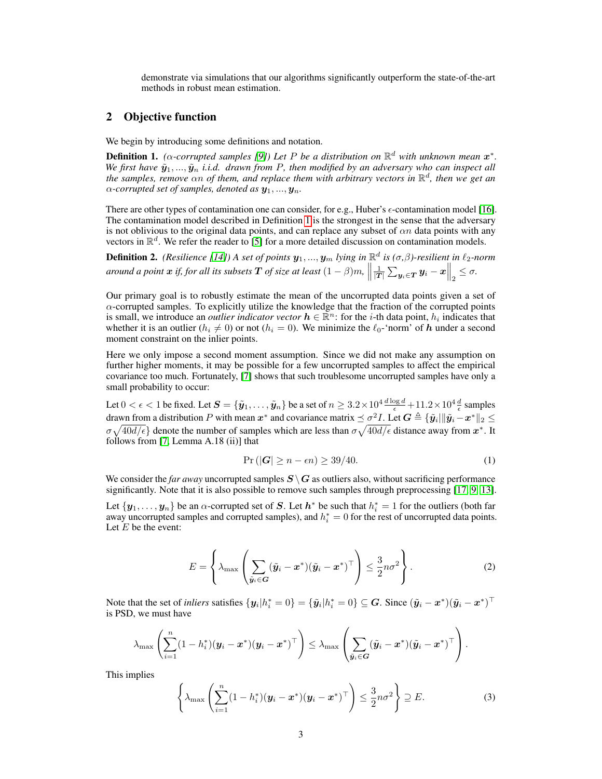demonstrate via simulations that our algorithms significantly outperform the state-of-the-art methods in robust mean estimation.

## 2 Objective function

We begin by introducing some definitions and notation.

<span id="page-2-0"></span>**Definition 1.** ( $\alpha$ -corrupted samples [\[9\]](#page-10-3)) Let P be a distribution on  $\mathbb{R}^d$  with unknown mean  $x^*$ . *We first have*  $\tilde{y}_1, ..., \tilde{y}_n$  *i.i.d. drawn from P, then modified by an adversary who can inspect all the samples, remove*  $\alpha n$  of them, and replace them with arbitrary vectors in  $\mathbb{R}^d$ , then we get an  $\alpha$ -corrupted set of samples, denoted as  $y_1, ..., y_n$ .

There are other types of contamination one can consider, for e.g., Huber's  $\epsilon$ -contamination model [\[16\]](#page-10-10). The contamination model described in Definition [1](#page-2-0) is the strongest in the sense that the adversary is not oblivious to the original data points, and can replace any subset of  $\alpha n$  data points with any vectors in  $\mathbb{R}^d$ . We refer the reader to [\[5\]](#page-9-4) for a more detailed discussion on contamination models.

**Definition 2.** (Resilience [\[14\]](#page-10-8)) A set of points  $y_1, ..., y_m$  lying in  $\mathbb{R}^d$  is ( $\sigma, \beta$ )-resilient in  $\ell_2$ -norm *around a point*  $x$  *if, for all its subsets*  $T$  *of size at least*  $(1 - \beta)m$ ,  $\parallel$  $\frac{1}{|T|}\sum_{\bm{y}_i\in T}\bm{y}_i - x\Big\|_2 \leq \sigma.$ 

Our primary goal is to robustly estimate the mean of the uncorrupted data points given a set of  $\alpha$ -corrupted samples. To explicitly utilize the knowledge that the fraction of the corrupted points is small, we introduce an *outlier indicator vector*  $h \in \mathbb{R}^n$ : for the *i*-th data point,  $h_i$  indicates that whether it is an outlier ( $h_i \neq 0$ ) or not ( $h_i = 0$ ). We minimize the  $\ell_0$ -'norm' of h under a second moment constraint on the inlier points.

Here we only impose a second moment assumption. Since we did not make any assumption on further higher moments, it may be possible for a few uncorrupted samples to affect the empirical covariance too much. Fortunately, [\[7\]](#page-10-1) shows that such troublesome uncorrupted samples have only a small probability to occur:

Let  $0<\epsilon< 1$  be fixed. Let  $\bm{S}=\{\tilde{\bm{y}}_1,\ldots,\tilde{\bm{y}}_n\}$  be a set of  $n\geq 3.2\times 10^4\frac{d\log d}{\epsilon}+11.2\times 10^4\frac{d}{\epsilon}$  samples drawn from a distribution  $P$  with mean  $x^*$  and covariance matrix  $\preceq \sigma^2 I$ . Let  $G \triangleq \{\tilde{y}_i | \|\tilde{y}_i - x^*\|_2 \leq \sigma^2 I$  $\sigma\sqrt{40d/\epsilon}$ } denote the number of samples which are less than  $\sigma\sqrt{40d/\epsilon}$  distance away from  $x^*$ . It follows from [\[7,](#page-10-1) Lemma A.18 (ii)] that

<span id="page-2-2"></span>
$$
\Pr\left(|\mathbf{G}| \ge n - \epsilon n\right) \ge 39/40. \tag{1}
$$

We consider the *far away* uncorrupted samples  $S \setminus G$  as outliers also, without sacrificing performance significantly. Note that it is also possible to remove such samples through preprocessing [\[17,](#page-10-11) [9,](#page-10-3) [13\]](#page-10-7).

<span id="page-2-1"></span>Let  $\{y_1, \ldots, y_n\}$  be an  $\alpha$ -corrupted set of S. Let  $h^*$  be such that  $h_i^* = 1$  for the outliers (both far away uncorrupted samples and corrupted samples), and  $h_i^* = 0$  for the rest of uncorrupted data points. Let  $E$  be the event:

$$
E = \left\{ \lambda_{\max} \left( \sum_{\tilde{\boldsymbol{y}}_i \in \boldsymbol{G}} (\tilde{\boldsymbol{y}}_i - \boldsymbol{x}^*) (\tilde{\boldsymbol{y}}_i - \boldsymbol{x}^*)^\top \right) \leq \frac{3}{2} n \sigma^2 \right\}.
$$
 (2)

Note that the set of *inliers* satisfies  $\{y_i | h_i^* = 0\} = \{\tilde{y}_i | h_i^* = 0\} \subseteq G$ . Since  $(\tilde{y}_i - x^*)(\tilde{y}_i - x^*)^\top$ is PSD, we must have

$$
\lambda_{\max}\left(\sum_{i=1}^n (1-h_i^*)(\boldsymbol{y}_i-\boldsymbol{x}^*)(\boldsymbol{y}_i-\boldsymbol{x}^*)^\top\right)\leq \lambda_{\max}\left(\sum_{\tilde{\boldsymbol{y}}_i\in\boldsymbol{G}}(\tilde{\boldsymbol{y}}_i-\boldsymbol{x}^*)(\tilde{\boldsymbol{y}}_i-\boldsymbol{x}^*)^\top\right).
$$

This implies

<span id="page-2-3"></span>
$$
\left\{\lambda_{\max}\left(\sum_{i=1}^n(1-h_i^*)(\boldsymbol{y}_i-\boldsymbol{x}^*)(\boldsymbol{y}_i-\boldsymbol{x}^*)^\top\right)\leq\frac{3}{2}n\sigma^2\right\}\supseteq E.
$$
 (3)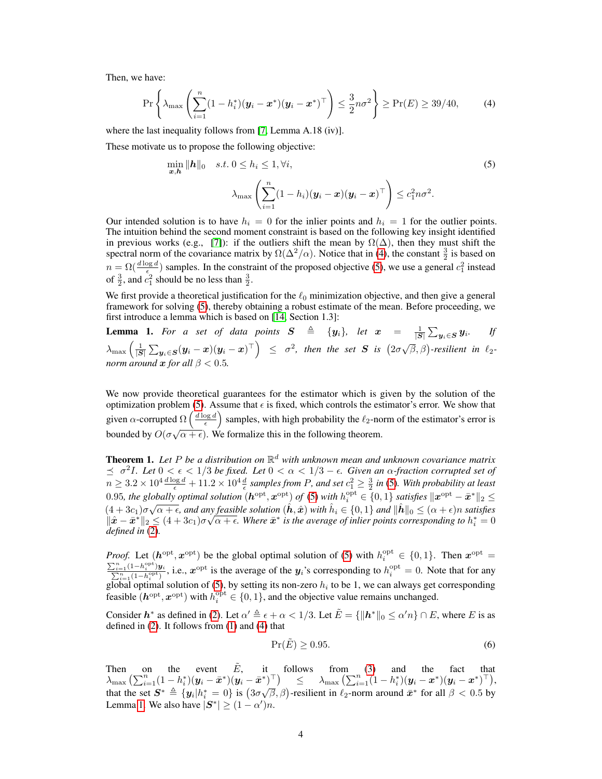Then, we have:

<span id="page-3-0"></span>
$$
\Pr\left\{\lambda_{\max}\left(\sum_{i=1}^n (1-h_i^*)(\boldsymbol{y}_i-\boldsymbol{x}^*)(\boldsymbol{y}_i-\boldsymbol{x}^*)^\top\right) \leq \frac{3}{2}n\sigma^2\right\} \geq \Pr(E) \geq 39/40,\tag{4}
$$

where the last inequality follows from [\[7,](#page-10-1) Lemma A.18 (iv)].

These motivate us to propose the following objective:

<span id="page-3-1"></span>
$$
\min_{\boldsymbol{x}, \boldsymbol{h}} \|\boldsymbol{h}\|_{0} \quad s.t. \ 0 \leq h_{i} \leq 1, \forall i,
$$
\n
$$
\lambda_{\max} \left( \sum_{i=1}^{n} (1 - h_{i}) (\boldsymbol{y}_{i} - \boldsymbol{x}) (\boldsymbol{y}_{i} - \boldsymbol{x})^{\top} \right) \leq c_{1}^{2} n \sigma^{2}.
$$
\n
$$
(5)
$$

Our intended solution is to have  $h_i = 0$  for the inlier points and  $h_i = 1$  for the outlier points. The intuition behind the second moment constraint is based on the following key insight identified in previous works (e.g., [\[7\]](#page-10-1)): if the outliers shift the mean by  $\Omega(\Delta)$ , then they must shift the spectral norm of the covariance matrix by  $\Omega(\Delta^2/\alpha)$ . Notice that in [\(4\)](#page-3-0), the constant  $\frac{3}{2}$  is based on  $n = \Omega(\frac{d \log d}{\epsilon})$  samples. In the constraint of the proposed objective [\(5\)](#page-3-1), we use a general  $c_1^2$  instead of  $\frac{3}{2}$ , and  $c_1^2$  should be no less than  $\frac{3}{2}$ .

We first provide a theoretical justification for the  $\ell_0$  minimization objective, and then give a general framework for solving [\(5\)](#page-3-1), thereby obtaining a robust estimate of the mean. Before proceeding, we first introduce a lemma which is based on [\[14,](#page-10-8) Section 1.3]:

<span id="page-3-2"></span>**Lemma 1.** For a set of data points  $S \triangleq \{y_i\}$ , let  $x = \frac{1}{|S|} \sum_{y_i \in S} y_i$ . If  $\lambda_{\max}\left(\frac{1}{|S|}\sum_{\mathbf{y}_i\in S}(\mathbf{y}_i-\mathbf{x})(\mathbf{y}_i-\mathbf{x})^\top\right) \leq \sigma^2$ , then the set S is  $(2\sigma\sqrt{\beta},\beta)$ -resilient in  $\ell_2$ *norm around*  $x$  *for all*  $\beta$  < 0.5

We now provide theoretical guarantees for the estimator which is given by the solution of the optimization problem [\(5\)](#page-3-1). Assume that  $\epsilon$  is fixed, which controls the estimator's error. We show that given  $\alpha$ -corrupted  $\Omega\left(\frac{d \log d}{\epsilon}\right)$  samples, with high probability the  $\ell_2$ -norm of the estimator's error is bounded by  $O(\sigma\sqrt{\alpha+\epsilon})$ . We formalize this in the following theorem.

Theorem 1. *Let* P *be a distribution on* R <sup>d</sup> *with unknown mean and unknown covariance matrix*  $\leq$  σ<sup>2</sup>I. Let 0 <  $\epsilon$  < 1/3 be fixed. Let 0 < α < 1/3 −  $\epsilon$ . Given an α-fraction corrupted set of  $n\geq 3.2\times 10^4\frac{d\log d}{\epsilon}+11.2\times 10^4\frac{d}{\epsilon}$  samples from P, and set  $c_1^2\geq \frac{3}{2}$  in [\(5\)](#page-3-1). With probability at least 0.95*, the globally optimal solution*  $(h^{\text{opt}}, x^{\text{opt}})$  *of* [\(5\)](#page-3-1) *with*  $h_i^{\text{opt}} \in \{0, 1\}$  *satisfies*  $\|x^{\text{opt}} - \bar{x}^*\|_2 \le$  $(4+3c_1)\sigma\sqrt{\alpha+\epsilon}$ , and any feasible solution  $(\hat{h},\hat{x})$  with  $\hat{h}_i \in \{0,1\}$  and  $\|\hat{h}\|_0 \leq (\alpha+\epsilon)n$  satisfies  $\|\hat{x}-\bar{x}^*\|_2 \leq (4+3c_1)\sigma\sqrt{\alpha+\epsilon}$ . Where  $\bar{x}^*$  is the average of inlier points corresponding to  $h_i^*=0$ *defined in* [\(2\)](#page-2-1)*.*

*Proof.* Let  $(h^{\text{opt}}, x^{\text{opt}})$  be the global optimal solution of [\(5\)](#page-3-1) with  $h_i^{\text{opt}} \in \{0, 1\}$ . Then  $x^{\text{opt}} =$  $\frac{\sum_{i=1}^{n} (1-h_i^{\text{opt}})}{\sum_{i=1}^{n} (1-h_i^{\text{opt}})}$  $\frac{e^{-1}(1-h_i^{\text{opt}})y_i}{e^{-1}(1-h_i^{\text{opt}})}$ , i.e.,  $x^{\text{opt}}$  is the average of the  $y_i$ 's corresponding to  $h_i^{\text{opt}} = 0$ . Note that for any global optimal solution of [\(5\)](#page-3-1), by setting its non-zero  $h_i$  to be 1, we can always get corresponding feasible  $(h^{\text{opt}}, x^{\text{opt}})$  with  $h_i^{\text{opt}} \in \{0, 1\}$ , and the objective value remains unchanged.

Consider  $h^*$  as defined in [\(2\)](#page-2-1). Let  $\alpha' \triangleq \epsilon + \alpha < 1/3$ . Let  $\tilde{E} = \{\Vert h^*\Vert_0 \leq \alpha' n\} \cap E$ , where E is as defined in [\(2\)](#page-2-1). It follows from [\(1\)](#page-2-2) and [\(4\)](#page-3-0) that

$$
\Pr(\tilde{E}) \ge 0.95. \tag{6}
$$

Then on the event  $\tilde{E}$ , it follows from [\(3\)](#page-2-3) and the fact that  $\lambda_{\max}\left(\sum_{i=1}^n(1-h_i^*)(\bm{y}_i-\bar{\bm{x}}^*)(\bm{y}_i-\bar{\bm{x}}^*)^\top\right) \quad\leq\quad \lambda_{\max}\left(\sum_{i=1}^n(1-h_i^*)(\bm{y}_i-\bm{x}^*)(\bm{y}_i-\bm{x}^*)^\top\right)\!,$ A  $\lim_{n \to \infty} \left( \sum_{i=1}^{n} (1 - \frac{n_i}{n_i}) (y_i - x_i)^n \right)$   $\leq$   $\lim_{n \to \infty} \left( \sum_{i=1}^{n} (1 - \frac{n_i}{n_i}) (y_i - x_i)^n \right)$ <br>that the set  $S^* \triangleq \{y_i | h_i^* = 0\}$  is  $(3\sigma\sqrt{\beta}, \beta)$ -resilient in  $\ell_2$ -norm around  $\bar{x}^*$  for all  $\beta < 0.5$  by Lemma [1.](#page-3-2) We also have  $|\boldsymbol{S}^*| \ge (1 - \alpha')n$ .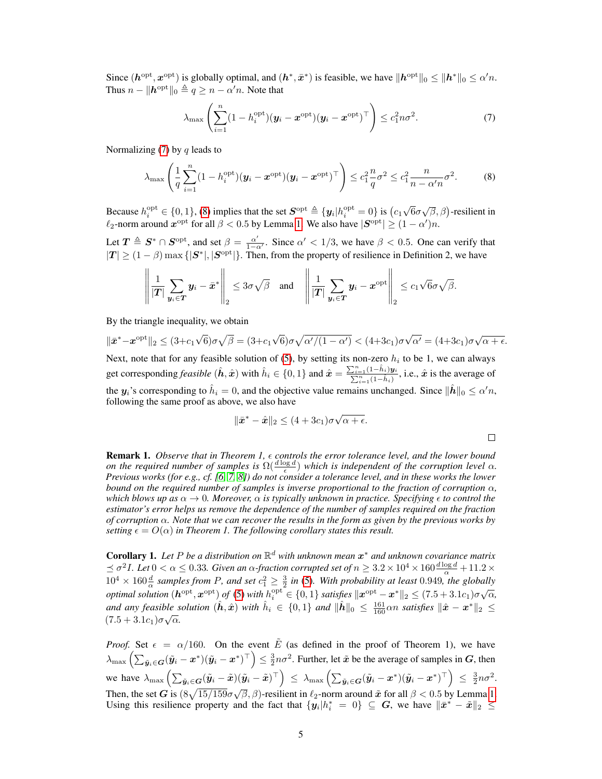Since  $(h^{\text{opt}}, x^{\text{opt}})$  is globally optimal, and  $(h^*, \bar{x}^*)$  is feasible, we have  $\|h^{\text{opt}}\|_0 \le \|h^*\|_0 \le \alpha'n$ . Thus  $n - ||h^{opt}||_0 \triangleq q \geq n - \alpha'n$ . Note that

<span id="page-4-0"></span>
$$
\lambda_{\max}\left(\sum_{i=1}^n (1-h_i^{\text{opt}})(\boldsymbol{y}_i-\boldsymbol{x}^{\text{opt}})(\boldsymbol{y}_i-\boldsymbol{x}^{\text{opt}})^\top\right)\leq c_1^2 n \sigma^2.
$$
 (7)

Normalizing  $(7)$  by q leads to

$$
\lambda_{\max}\left(\frac{1}{q}\sum_{i=1}^{n}(1-h_i^{\text{opt}})(\boldsymbol{y}_i-\boldsymbol{x}^{\text{opt}})(\boldsymbol{y}_i-\boldsymbol{x}^{\text{opt}})^{\top}\right)\leq c_1^2\frac{n}{q}\sigma^2\leq c_1^2\frac{n}{n-\alpha'n}\sigma^2.
$$
 (8)

Because  $h_i^{\text{opt}} \in \{0, 1\}$ , [\(8\)](#page-4-1) implies that the set  $S^{\text{opt}} \triangleq {\mathbf{\{y_i|}}}{h_i^{\text{opt}}} = 0$  is  $(c_1)$ √  $\overline{6}\sigma\sqrt{\beta}, \beta$ )-resilient in  $\ell_2$ -norm around  $\bm{x}^{\rm opt}$  for all  $\beta < 0.5$  by Lemma [1.](#page-3-2) We also have  $|\bm{S}^{\rm opt}| \geq (1-\alpha')n$ .

Let  $T \triangleq S^* \cap S^{\text{opt}}$ , and set  $\beta = \frac{\alpha'}{1-\alpha'}$  $\frac{\alpha'}{1-\alpha'}$ . Since  $\alpha' < 1/3$ , we have  $\beta < 0.5$ . One can verify that  $|T| \ge (1 - \beta) \max\{|S^*|, |S^{\text{opt}}|\}.$  Then, from the property of resilience in Definition 2, we have

$$
\left\|\frac{1}{|T|}\sum_{\mathbf{y}_i\in T}\mathbf{y}_i-\bar{\mathbf{x}}^*\right\|_2\leq 3\sigma\sqrt{\beta}\quad\text{and}\quad\left\|\frac{1}{|T|}\sum_{\mathbf{y}_i\in T}\mathbf{y}_i-\mathbf{x}^{\text{opt}}\right\|_2\leq c_1\sqrt{6}\sigma\sqrt{\beta}.
$$

By the triangle inequality, we obtain

$$
\|\bar{\boldsymbol{x}}^* - \boldsymbol{x}^{\mathrm{opt}}\|_2 \le (3 + c_1 \sqrt{6})\sigma \sqrt{\beta} = (3 + c_1 \sqrt{6})\sigma \sqrt{\alpha'/(1 - \alpha')} < (4 + 3c_1)\sigma \sqrt{\alpha'} = (4 + 3c_1)\sigma \sqrt{\alpha + \epsilon}.
$$

Next, note that for any feasible solution of [\(5\)](#page-3-1), by setting its non-zero  $h_i$  to be 1, we can always get corresponding *feasible*  $(\hat{h}, \hat{x})$  with  $\hat{h}_i \in \{0, 1\}$  and  $\hat{x} = \frac{\sum_{i=1}^{n} (1-\hat{h}_i)y_i}{\sum_{i=1}^{n} (1-\hat{h}_i)}$ , i.e.,  $\hat{x}$  is the average of the  $y_i$ 's corresponding to  $\hat{h}_i = 0$ , and the objective value remains unchanged. Since  $\|\hat{h}\|_0 \le \alpha'n$ , following the same proof as above, we also have

$$
\|\bar{\boldsymbol{x}}^* - \hat{\boldsymbol{x}}\|_2 \le (4 + 3c_1)\sigma\sqrt{\alpha + \epsilon}.
$$

<span id="page-4-1"></span> $\Box$ 

Remark 1. *Observe that in Theorem 1, controls the error tolerance level, and the lower bound on the required number of samples is*  $\Omega(\frac{d \log d}{\epsilon})$  *which is independent of the corruption level*  $\alpha$ *. Previous works (for e.g., cf. [\[6,](#page-10-0) [7,](#page-10-1) [8\]](#page-10-2)) do not consider a tolerance level, and in these works the lower bound on the required number of samples is inverse proportional to the fraction of corruption*  $\alpha$ , *which blows up as*  $\alpha \to 0$ *. Moreover,*  $\alpha$  *is typically unknown in practice. Specifying*  $\epsilon$  *to control the estimator's error helps us remove the dependence of the number of samples required on the fraction of corruption* α*. Note that we can recover the results in the form as given by the previous works by setting*  $\epsilon = O(\alpha)$  *in Theorem 1. The following corollary states this result.* 

Corollary 1. *Let* P *be a distribution on* R <sup>d</sup> *with unknown mean* x <sup>∗</sup> *and unknown covariance matrix*  $\leq \sigma^2 I$ *. Let*  $0 < \alpha \leq 0.33$ *. Given an*  $\alpha$ *-fraction corrupted set of*  $n \geq 3.2\times 10^4 \times 160\frac{d\log d}{\alpha}+11.2\times 10^4$  $10^4 \times 160 \frac{d}{d}$  samples from P, and set  $c_1^2 \geq \frac{3}{2}$  in [\(5\)](#page-3-1). With probability at least 0.949*, the globally optimal solution*  $(h^{opt}, x^{opt})$  *of* [\(5\)](#page-3-1) *with*  $h_i^{opt} \in \{0, 1\}$  *satisfies*  $\|x^{opt} - x^*\|_2 \leq (7.5 + 3.1c_1)\sigma\sqrt{\alpha}$ , *and any feasible solution*  $(\hat{h}, \hat{x})$  *with*  $\hat{h}_i \in \{0, 1\}$  *and*  $\|\hat{h}\|_0 \leq \frac{161}{160} \alpha n$  *satisfies*  $\|\hat{x} - x^*\|_2 \leq$  $(7.5+3.1c_1)\sigma\sqrt{\alpha}.$ 

*Proof.* Set  $\epsilon = \alpha/160$ . On the event  $\tilde{E}$  (as defined in the proof of Theorem 1), we have  $\lambda_{\max}\left(\sum_{\tilde{\bm{y}}_i \in \bm{G}}(\tilde{\bm{y}}_i - \bm{x}^*)(\tilde{\bm{y}}_i - \bm{x}^*)^\top\right) \leq \frac{3}{2}n\sigma^2$ . Further, let  $\tilde{\bm{x}}$  be the average of samples in  $\bm{G}$ , then we have  $\lambda_{\max} \left( \sum_{\tilde{y}_i \in G} (\tilde{y}_i - \tilde{x})(\tilde{y}_i - \tilde{x})^\top \right) \leq \lambda_{\max} \left( \sum_{\tilde{y}_i \in G} (\tilde{y}_i - x^*)(\tilde{y}_i - x^*)^\top \right) \leq \frac{3}{2} n \sigma^2$ . Then, the set  $G$  is  $(8\sqrt{15/159}\sigma\sqrt{\beta}, \beta)$ -resilient in  $\ell_2$ -norm around  $\tilde{x}$  for all  $\beta < 0.5$  by Lemma [1.](#page-3-2) √ Using this resilience property and the fact that  $\{y_i | h_i^* = 0\} \subseteq G$ , we have  $\|\bar{x}^* - \tilde{x}\|_2 \le$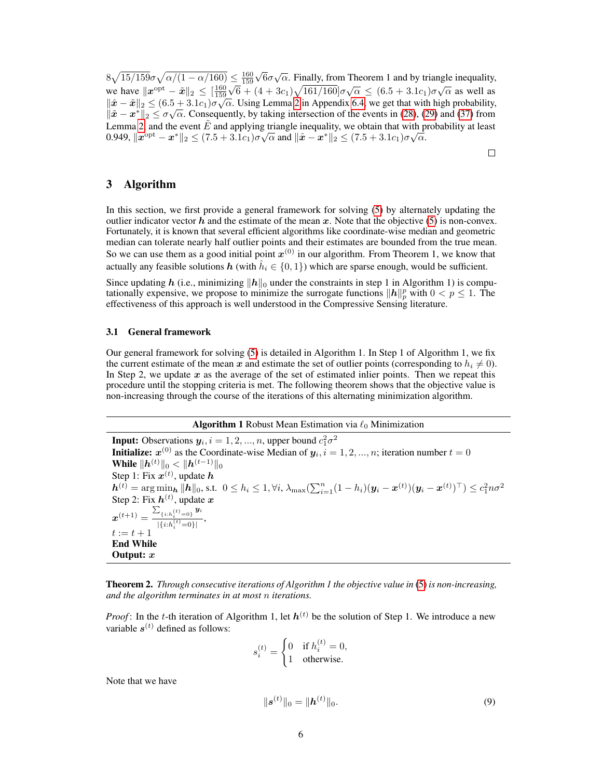$8\sqrt{15/159}\sigma\sqrt{\alpha/(1-\alpha/160)} \leq \frac{160}{159}$ √  $\leq \frac{160}{159} \sqrt{6} \sigma \sqrt{\alpha}$ . Finally, from Theorem 1 and by triangle inequality, we have  $||x^{\text{opt}} - \tilde{x}||_2 \le \left[\frac{160}{159}\sqrt{6} + (4 + 3c_1)\sqrt{161/160}\right]σ\sqrt{α} \le (6.5 + 3.1c_1)σ\sqrt{α}$  as well as  $\|\hat{\bm{x}} - \tilde{\bm{x}}\|_2 \leq (6.5 + 3.1c_1)\sigma\sqrt{\alpha}$ . Using Lemma [2](#page-13-0) in Appendix [6.4,](#page-13-1) we get that with high probability,  $\|\tilde{x} - x^*\|_2 \leq \sigma \sqrt{\alpha}$ . Consequently, by taking intersection of the events in [\(28\)](#page-13-2), [\(29\)](#page-13-3) and [\(37\)](#page-13-4) from Lemma [2,](#page-13-0) and the event  $\tilde{E}$  and applying triangle inequality, we obtain that with probability at least Lemma 2, and the event *E* and applying triangle inequality, we obtain that with p<br>0.949,  $||x^{\text{opt}} - x^*||_2 \le (7.5 + 3.1c_1)\sigma\sqrt{\alpha}$  and  $||\hat{x} - x^*||_2 \le (7.5 + 3.1c_1)\sigma\sqrt{\alpha}$ .

 $\Box$ 

# 3 Algorithm

In this section, we first provide a general framework for solving [\(5\)](#page-3-1) by alternately updating the outlier indicator vector h and the estimate of the mean x. Note that the objective  $(5)$  is non-convex. Fortunately, it is known that several efficient algorithms like coordinate-wise median and geometric median can tolerate nearly half outlier points and their estimates are bounded from the true mean. So we can use them as a good initial point  $x^{(0)}$  in our algorithm. From Theorem 1, we know that actually any feasible solutions  $h$  (with  $\hat{h}_i \in \{0,1\}$ ) which are sparse enough, would be sufficient.

Since updating h (i.e., minimizing  $||h||_0$  under the constraints in step 1 in Algorithm 1) is computationally expensive, we propose to minimize the surrogate functions  $||h||_p^p$  with  $0 < p \le 1$ . The effectiveness of this approach is well understood in the Compressive Sensing literature.

#### 3.1 General framework

Our general framework for solving [\(5\)](#page-3-1) is detailed in Algorithm 1. In Step 1 of Algorithm 1, we fix the current estimate of the mean x and estimate the set of outlier points (corresponding to  $h_i \neq 0$ ). In Step 2, we update  $x$  as the average of the set of estimated inlier points. Then we repeat this procedure until the stopping criteria is met. The following theorem shows that the objective value is non-increasing through the course of the iterations of this alternating minimization algorithm.

#### **Algorithm 1** Robust Mean Estimation via  $\ell_0$  Minimization

**Input:** Observations  $y_i$ ,  $i = 1, 2, ..., n$ , upper bound  $c_1^2 \sigma^2$ **Initialize:**  $x^{(0)}$  as the Coordinate-wise Median of  $y_i$ ,  $i = 1, 2, ..., n$ ; iteration number  $t = 0$ While  $\|\bm{h}^{(t)}\|_0 < \|\bm{h}^{(t-1)}\|_0$ Step 1: Fix  $x^{(t)}$ , update  $h$  $\bm{h}^{(t)} = \arg\min_{\bm{h}} \|\hat{\bm{h}}\|_0 \text{, s.t. } 0 \leq h_i \leq 1, \forall i, \lambda_{\max}(\sum_{i=1}^n (1-h_i)(\bm{y}_i - \bm{x}^{(t)})(\bm{y}_i - \bm{x}^{(t)})^\top) \leq c_1^2 n \sigma^2$ Step 2: Fix  $h^{(t)}$ , update  $x$  $\bm{x}^{(t+1)} = \frac{\sum_{\{i: h_i^{(t)}=0\}} \bm{y}_i}{\frac{\prod_{i=1}^{t} (t_i - a_i)}{s_i}}$  $\frac{\{i: n_i = 0\}}{|\{i: h_i^{(t)} = 0\}|},$  $t := t + 1$ End While Output: x

<span id="page-5-1"></span>Theorem 2. *Through consecutive iterations of Algorithm 1 the objective value in* [\(5\)](#page-3-1) *is non-increasing, and the algorithm terminates in at most* n *iterations.*

*Proof*: In the t-th iteration of Algorithm 1, let  $h^{(t)}$  be the solution of Step 1. We introduce a new variable  $s^{(t)}$  defined as follows:

$$
s_i^{(t)} = \begin{cases} 0 & \text{if } h_i^{(t)} = 0, \\ 1 & \text{otherwise.} \end{cases}
$$

Note that we have

<span id="page-5-0"></span>
$$
\|\boldsymbol{s}^{(t)}\|_{0} = \|\boldsymbol{h}^{(t)}\|_{0}.\tag{9}
$$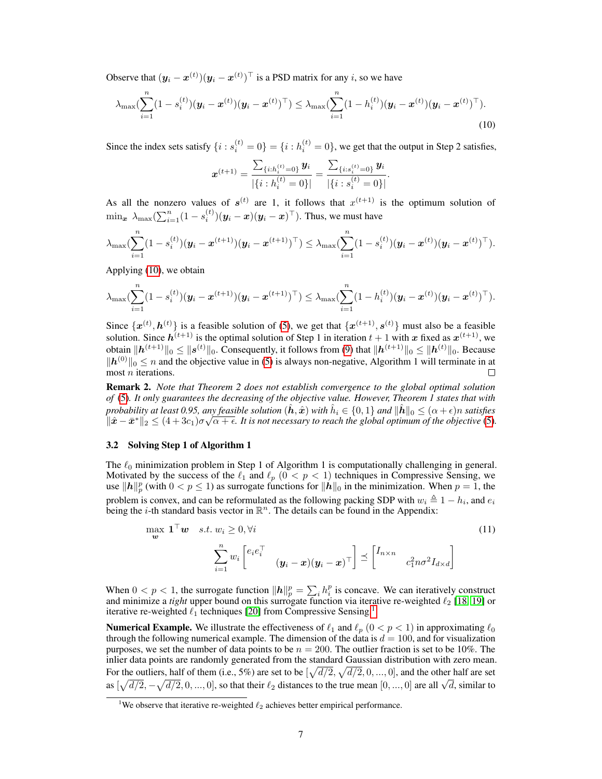Observe that  $(y_i - x^{(t)}) (y_i - x^{(t)})^\top$  is a PSD matrix for any i, so we have

$$
\lambda_{\max}(\sum_{i=1}^{n} (1-s_i^{(t)}) (\boldsymbol{y}_i - \boldsymbol{x}^{(t)}) (\boldsymbol{y}_i - \boldsymbol{x}^{(t)})^{\top}) \leq \lambda_{\max}(\sum_{i=1}^{n} (1-h_i^{(t)}) (\boldsymbol{y}_i - \boldsymbol{x}^{(t)}) (\boldsymbol{y}_i - \boldsymbol{x}^{(t)})^{\top}).
$$
\n(10)

Since the index sets satisfy  $\{i : s_i^{(t)} = 0\} = \{i : h_i^{(t)} = 0\}$ , we get that the output in Step 2 satisfies,

<span id="page-6-0"></span>
$$
\boldsymbol{x}^{(t+1)} = \frac{\sum_{\{i: h_i^{(t)} = 0\}} \boldsymbol{y}_i}{|\{i: h_i^{(t)} = 0\}|} = \frac{\sum_{\{i: s_i^{(t)} = 0\}} \boldsymbol{y}_i}{|\{i: s_i^{(t)} = 0\}|}.
$$

As all the nonzero values of  $s^{(t)}$  are 1, it follows that  $x^{(t+1)}$  is the optimum solution of  $\min_{\bm{x}} \ \lambda_{\max}(\sum_{i=1}^n (1-s_i^{(t)})(\bm{y}_i-\bm{x})(\bm{y}_i-\bm{x})^\top)$ . Thus, we must have

$$
\lambda_{\max}(\sum_{i=1}^n (1-s_i^{(t)}) (\boldsymbol{y}_i - \boldsymbol{x}^{(t+1)}) (\boldsymbol{y}_i - \boldsymbol{x}^{(t+1)})^\top) \leq \lambda_{\max}(\sum_{i=1}^n (1-s_i^{(t)}) (\boldsymbol{y}_i - \boldsymbol{x}^{(t)}) (\boldsymbol{y}_i - \boldsymbol{x}^{(t)})^\top).
$$

Applying [\(10\)](#page-6-0), we obtain

$$
\lambda_{\max}(\sum_{i=1}^n (1-s_i^{(t)}) (\boldsymbol{y}_i - \boldsymbol{x}^{(t+1)}) (\boldsymbol{y}_i - \boldsymbol{x}^{(t+1)})^\top) \leq \lambda_{\max}(\sum_{i=1}^n (1-h_i^{(t)}) (\boldsymbol{y}_i - \boldsymbol{x}^{(t)}) (\boldsymbol{y}_i - \boldsymbol{x}^{(t)})^\top).
$$

Since  $\{x^{(t)}, h^{(t)}\}$  is a feasible solution of [\(5\)](#page-3-1), we get that  $\{x^{(t+1)}, s^{(t)}\}$  must also be a feasible solution. Since  $h^{(t+1)}$  is the optimal solution of Step 1 in iteration  $t+1$  with x fixed as  $x^{(t+1)}$ , we obtain  $\|\bm{h}^{(t+1)}\|_0 \leq \|\bm{s}^{(t)}\|_0.$  Consequently, it follows from [\(9\)](#page-5-0) that  $\|\bm{h}^{(t+1)}\|_0 \leq \|\bm{h}^{(t)}\|_0.$  Because  $||h^{(0)}||_0 \le n$  and the objective value in [\(5\)](#page-3-1) is always non-negative, Algorithm 1 will terminate in at  $m$  iterations. П

Remark 2. *Note that Theorem 2 does not establish convergence to the global optimal solution of* [\(5\)](#page-3-1)*. It only guarantees the decreasing of the objective value. However, Theorem 1 states that with probability at least 0.95, any feasible solution*  $(\hat{h}, \hat{x})$  *with*  $\hat{h}_i \in \{0, 1\}$  *and*  $\|\hat{h}\|_0 \leq (\alpha + \epsilon)n$  *satisfies*  $\|\hat{\bm{x}}-\bar{\bm{x}}^*\|_2 \leq (4+3c_1)\sigma\sqrt{\alpha+\epsilon}$ . It is not necessary to reach the global optimum of the objective [\(5\)](#page-3-1).

#### 3.2 Solving Step 1 of Algorithm 1

The  $\ell_0$  minimization problem in Step 1 of Algorithm 1 is computationally challenging in general. Motivated by the success of the  $\ell_1$  and  $\ell_p$  ( $0 < p < 1$ ) techniques in Compressive Sensing, we use  $\|\mathbf{h}\|_p^p$  (with  $0 < p \le 1$ ) as surrogate functions for  $\|\mathbf{h}\|_0$  in the minimization. When  $p = 1$ , the problem is convex, and can be reformulated as the following packing SDP with  $w_i \triangleq 1 - h_i$ , and  $e_i$ being the *i*-th standard basis vector in  $\mathbb{R}^n$ . The details can be found in the Appendix:

<span id="page-6-2"></span>
$$
\max_{\mathbf{w}} \mathbf{1}^{\top} \mathbf{w} \quad s.t. \ w_i \ge 0, \forall i
$$
\n
$$
\sum_{i=1}^{n} w_i \begin{bmatrix} e_i e_i^{\top} \\ (y_i - \mathbf{x})(y_i - \mathbf{x})^{\top} \end{bmatrix} \preceq \begin{bmatrix} I_{n \times n} \\ c_1^2 n \sigma^2 I_{d \times d} \end{bmatrix}
$$
\n(11)

When  $0 < p < 1$ , the surrogate function  $||h||_p^p = \sum_i h_i^p$  is concave. We can iteratively construct and minimize a *tight* upper bound on this surrogate function via iterative re-weighted  $\ell_2$  [\[18,](#page-10-12) [19\]](#page-10-13) or iterative re-weighted  $\ell_1$  $\ell_1$  techniques [\[20\]](#page-10-14) from Compressive Sensing.<sup>1</sup>

**Numerical Example.** We illustrate the effectiveness of  $\ell_1$  and  $\ell_p$  ( $0 < p < 1$ ) in approximating  $\ell_0$ through the following numerical example. The dimension of the data is  $d = 100$ , and for visualization purposes, we set the number of data points to be  $n = 200$ . The outlier fraction is set to be 10%. The inlier data points are randomly generated from the standard Gaussian distribution with zero mean. For the outliers, half of them (i.e., 5%) are set to be  $[\sqrt{d/2}, \sqrt{d/2}, 0, ..., 0]$ , and the other half are set For the outners, half of them (i.e., 5%) are set to be  $[\sqrt{u}/2, \sqrt{u}/2, 0, ..., 0]$ , and the other half are set as  $[\sqrt{d/2}, -\sqrt{d/2}, 0, ..., 0]$ , so that their  $\ell_2$  distances to the true mean  $[0, ..., 0]$  are all  $\sqrt{d}$ , similar to

<span id="page-6-1"></span><sup>&</sup>lt;sup>1</sup>We observe that iterative re-weighted  $\ell_2$  achieves better empirical performance.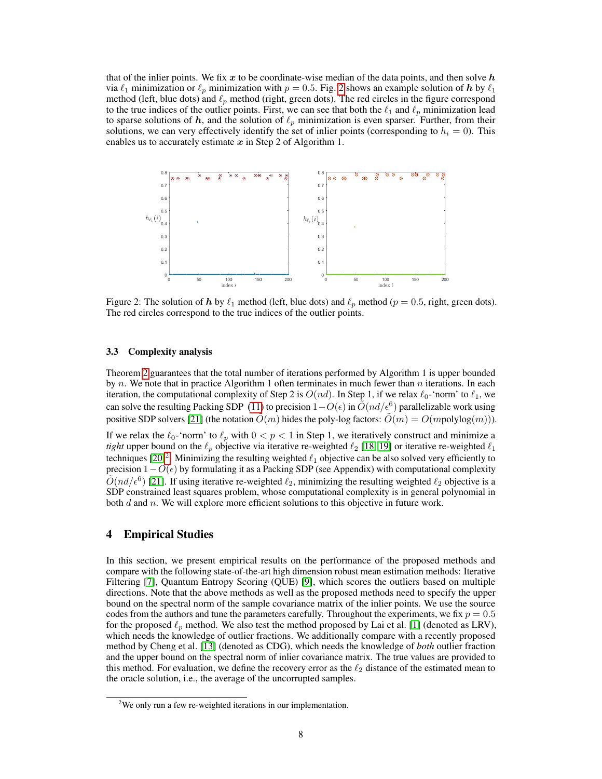that of the inlier points. We fix x to be coordinate-wise median of the data points, and then solve  $h$ via  $\ell_1$  minimization or  $\ell_p$  minimization with  $p = 0.5$ . Fig. [2](#page-7-0) shows an example solution of h by  $\ell_1$ method (left, blue dots) and  $\ell_p$  method (right, green dots). The red circles in the figure correspond to the true indices of the outlier points. First, we can see that both the  $\ell_1$  and  $\ell_p$  minimization lead to sparse solutions of h, and the solution of  $\ell_p$  minimization is even sparser. Further, from their solutions, we can very effectively identify the set of inlier points (corresponding to  $h_i = 0$ ). This enables us to accurately estimate  $x$  in Step 2 of Algorithm 1.



<span id="page-7-0"></span>Figure 2: The solution of h by  $\ell_1$  method (left, blue dots) and  $\ell_p$  method ( $p = 0.5$ , right, green dots). The red circles correspond to the true indices of the outlier points.

#### 3.3 Complexity analysis

Theorem [2](#page-5-1) guarantees that the total number of iterations performed by Algorithm 1 is upper bounded by n. We note that in practice Algorithm 1 often terminates in much fewer than n iterations. In each iteration, the computational complexity of Step 2 is  $O(nd)$ . In Step 1, if we relax  $\ell_0$ -'norm' to  $\ell_1$ , we can solve the resulting Packing SDP [\(11\)](#page-6-2) to precision  $1-O(\epsilon)$  in  $\tilde{O}(nd/\epsilon^6)$  parallelizable work using positive SDP solvers [\[21\]](#page-10-15) (the notation  $O(m)$  hides the poly-log factors:  $O(m) = O(m$ polylog $(m)$ )). If we relax the  $\ell_0$ -'norm' to  $\ell_p$  with  $0 < p < 1$  in Step 1, we iteratively construct and minimize a *tight* upper bound on the  $\ell_p$  objective via iterative re-weighted  $\ell_2$  [\[18,](#page-10-12) [19\]](#page-10-13) or iterative re-weighted  $\ell_1$ techniques  $[20]^2$  $[20]^2$  $[20]^2$ . Minimizing the resulting weighted  $\ell_1$  objective can be also solved very efficiently to precision  $1-O(\epsilon)$  by formulating it as a Packing SDP (see Appendix) with computational complexity  $\tilde{O}(nd/\epsilon^6)$  [\[21\]](#page-10-15). If using iterative re-weighted  $\ell_2$ , minimizing the resulting weighted  $\ell_2$  objective is a SDP constrained least squares problem, whose computational complexity is in general polynomial in both  $d$  and  $n$ . We will explore more efficient solutions to this objective in future work.

## 4 Empirical Studies

In this section, we present empirical results on the performance of the proposed methods and compare with the following state-of-the-art high dimension robust mean estimation methods: Iterative Filtering [\[7\]](#page-10-1), Quantum Entropy Scoring (QUE) [\[9\]](#page-10-3), which scores the outliers based on multiple directions. Note that the above methods as well as the proposed methods need to specify the upper bound on the spectral norm of the sample covariance matrix of the inlier points. We use the source codes from the authors and tune the parameters carefully. Throughout the experiments, we fix  $p = 0.5$ for the proposed  $\ell_p$  method. We also test the method proposed by Lai et al. [\[1\]](#page-9-0) (denoted as LRV), which needs the knowledge of outlier fractions. We additionally compare with a recently proposed method by Cheng et al. [\[13\]](#page-10-7) (denoted as CDG), which needs the knowledge of *both* outlier fraction and the upper bound on the spectral norm of inlier covariance matrix. The true values are provided to this method. For evaluation, we define the recovery error as the  $\ell_2$  distance of the estimated mean to the oracle solution, i.e., the average of the uncorrupted samples.

<span id="page-7-1"></span><sup>&</sup>lt;sup>2</sup>We only run a few re-weighted iterations in our implementation.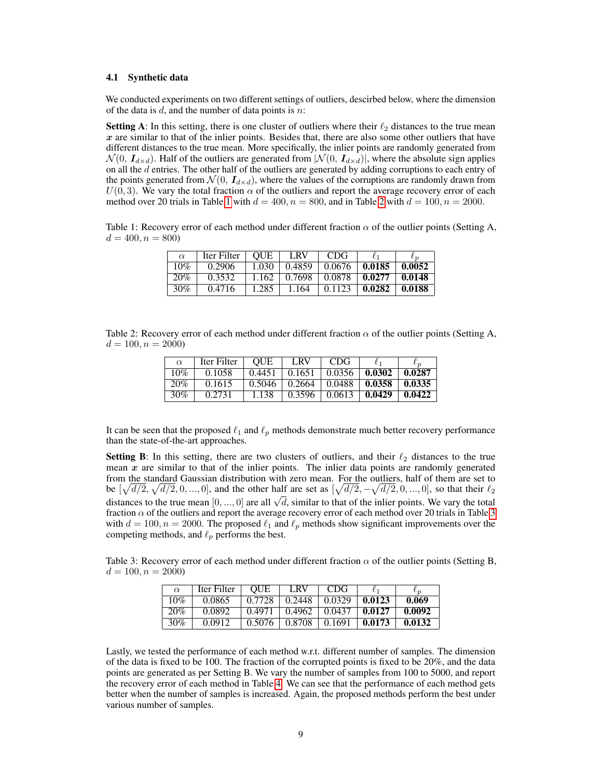#### 4.1 Synthetic data

We conducted experiments on two different settings of outliers, descirbed below, where the dimension of the data is  $d$ , and the number of data points is  $n$ :

**Setting A:** In this setting, there is one cluster of outliers where their  $\ell_2$  distances to the true mean  $x$  are similar to that of the inlier points. Besides that, there are also some other outliers that have different distances to the true mean. More specifically, the inlier points are randomly generated from  $\mathcal{N}(0, I_{d \times d})$ . Half of the outliers are generated from  $|\mathcal{N}(0, I_{d \times d})|$ , where the absolute sign applies on all the d entries. The other half of the outliers are generated by adding corruptions to each entry of the points generated from  $\mathcal{N}(0, I_{d \times d})$ , where the values of the corruptions are randomly drawn from  $U(0, 3)$ . We vary the total fraction  $\alpha$  of the outliers and report the average recovery error of each method over 20 trials in Table [1](#page-8-0) with  $d = 400$ ,  $n = 800$ , and in Table [2](#page-8-1) with  $d = 100$ ,  $n = 2000$ .

<span id="page-8-0"></span>Table 1: Recovery error of each method under different fraction  $\alpha$  of the outlier points (Setting A,  $d = 400, n = 800$ 

| $\alpha$ | Iter Filter | <b>OUE</b> | LRV    | <b>CDG</b> |        |        |
|----------|-------------|------------|--------|------------|--------|--------|
| 10%      | 0.2906      | 1.030      | 0.4859 | 0.0676     | 0.0185 | 0.0052 |
| 20%      | 0.3532      | 1.162      | 0.7698 | 0.0878     | 0.0277 | 0.0148 |
| $30\%$   | 0.4716      | 1.285      | 1.164  | 0.1123     | 0.0282 | 0.0188 |

<span id="page-8-1"></span>Table 2: Recovery error of each method under different fraction  $\alpha$  of the outlier points (Setting A,  $d = 100, n = 2000$ 

| $\alpha$ | Iter Filter | <b>OUE</b> | LRV    | CDG                     |        |        |
|----------|-------------|------------|--------|-------------------------|--------|--------|
| 10%      | 0.1058      | 0.4451     | 0.1651 | 0.0356                  | 0.0302 | 0.0287 |
| 20%      | 0.1615      | 0.5046     | 0.2664 | $\pm 0.0488 \pm 0.0488$ | 0.0358 | 0.0335 |
| 30%      | 0.2731      | 1.138      | 0.3596 | 0.0613                  | 0.0429 | 0.0422 |

It can be seen that the proposed  $\ell_1$  and  $\ell_p$  methods demonstrate much better recovery performance than the state-of-the-art approaches.

Setting B: In this setting, there are two clusters of outliers, and their  $\ell_2$  distances to the true mean  $x$  are similar to that of the inlier points. The inlier data points are randomly generated from the standard Gaussian distribution with zero mean. For the outliers, half of them are set to be  $[\sqrt{d/2}, \sqrt{d/2}, 0, ..., 0]$ , and the other half are set as  $[\sqrt{d/2}, -\sqrt{d/2}, 0, ..., 0]$ , so that their  $\ell_2$  $\det[\sqrt{u/2}, \sqrt{u/2}, 0, ..., 0]$ , and the other half are set as  $[\sqrt{u/2}, -\sqrt{u/2}, 0, ..., 0]$ , so that their  $i_2$  distances to the true mean  $[0, ..., 0]$  are all  $\sqrt{d}$ , similar to that of the inlier points. We vary the total fraction  $\alpha$  of the outliers and report the average recovery error of each method over 20 trials in Table [3](#page-8-2) with  $d = 100, n = 2000$ . The proposed  $\ell_1$  and  $\ell_p$  methods show significant improvements over the competing methods, and  $\ell_p$  performs the best.

<span id="page-8-2"></span>Table 3: Recovery error of each method under different fraction  $\alpha$  of the outlier points (Setting B,  $d = 100, n = 2000$ 

| $\alpha$ | Iter Filter | <b>OUE</b> | LRV    | CDG.   |        | $\ell_{\bm n}$ |
|----------|-------------|------------|--------|--------|--------|----------------|
| 10%      | 0.0865      | 0.7728     | 0.2448 | 0.0329 | 0.0123 | 0.069          |
| 20%      | 0.0892      | 0.4971     | 0.4962 | 0.0437 | 0.0127 | 0.0092         |
| 30%      | 0.0912      | 0.5076     | 0.8708 | 0.1691 | 0.0173 | 0.0132         |

Lastly, we tested the performance of each method w.r.t. different number of samples. The dimension of the data is fixed to be 100. The fraction of the corrupted points is fixed to be  $20\%$ , and the data points are generated as per Setting B. We vary the number of samples from 100 to 5000, and report the recovery error of each method in Table [4.](#page-9-5) We can see that the performance of each method gets better when the number of samples is increased. Again, the proposed methods perform the best under various number of samples.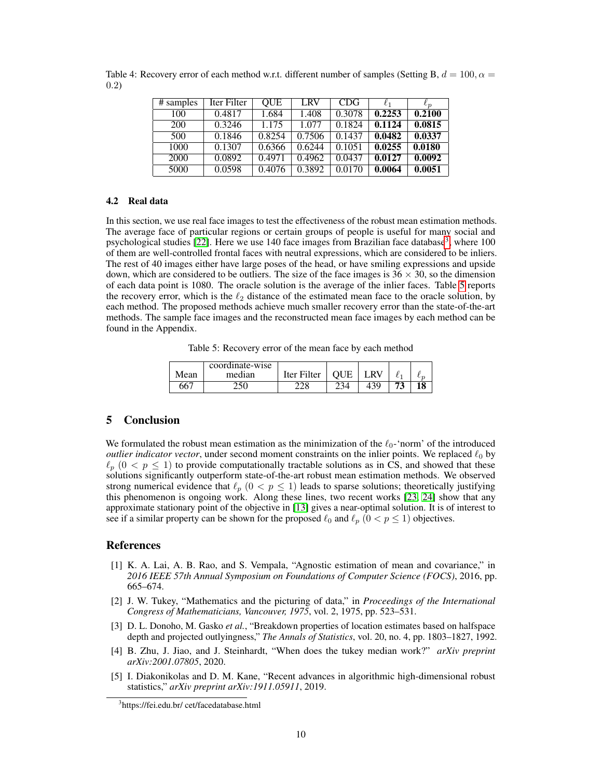<span id="page-9-5"></span>

| # samples | Iter Filter | <b>QUE</b> | LRV    | CDG    |        | $\iota_n$ |
|-----------|-------------|------------|--------|--------|--------|-----------|
| 100       | 0.4817      | 1.684      | 1.408  | 0.3078 | 0.2253 | 0.2100    |
| 200       | 0.3246      | 1.175      | 1.077  | 0.1824 | 0.1124 | 0.0815    |
| 500       | 0.1846      | 0.8254     | 0.7506 | 0.1437 | 0.0482 | 0.0337    |
| 1000      | 0.1307      | 0.6366     | 0.6244 | 0.1051 | 0.0255 | 0.0180    |
| 2000      | 0.0892      | 0.4971     | 0.4962 | 0.0437 | 0.0127 | 0.0092    |
| 5000      | 0.0598      | 0.4076     | 0.3892 | 0.0170 | 0.0064 | 0.0051    |

Table 4: Recovery error of each method w.r.t. different number of samples (Setting B,  $d = 100, \alpha =$ 0.2)

## 4.2 Real data

In this section, we use real face images to test the effectiveness of the robust mean estimation methods. The average face of particular regions or certain groups of people is useful for many social and psychological studies [\[22\]](#page-10-16). Here we use 140 face images from Brazilian face database<sup>[3](#page-9-6)</sup>, where 100 of them are well-controlled frontal faces with neutral expressions, which are considered to be inliers. The rest of 40 images either have large poses of the head, or have smiling expressions and upside down, which are considered to be outliers. The size of the face images is  $36 \times 30$ , so the dimension of each data point is 1080. The oracle solution is the average of the inlier faces. Table [5](#page-9-7) reports the recovery error, which is the  $\ell_2$  distance of the estimated mean face to the oracle solution, by each method. The proposed methods achieve much smaller recovery error than the state-of-the-art methods. The sample face images and the reconstructed mean face images by each method can be found in the Appendix.

<span id="page-9-7"></span>Table 5: Recovery error of the mean face by each method

|      | coordinate-wise |             |     |    |         |
|------|-----------------|-------------|-----|----|---------|
| Mean | median          | Iter Filter |     | R١ | $\iota$ |
| 667  | 250             | 228         | 234 |    | 18      |

## 5 Conclusion

We formulated the robust mean estimation as the minimization of the  $\ell_0$ -'norm' of the introduced *outlier indicator vector*, under second moment constraints on the inlier points. We replaced  $\ell_0$  by  $\ell_p$  ( $0 < p \leq 1$ ) to provide computationally tractable solutions as in CS, and showed that these solutions significantly outperform state-of-the-art robust mean estimation methods. We observed strong numerical evidence that  $\ell_p$  ( $0 < p \le 1$ ) leads to sparse solutions; theoretically justifying this phenomenon is ongoing work. Along these lines, two recent works [\[23,](#page-10-17) [24\]](#page-10-18) show that any approximate stationary point of the objective in [\[13\]](#page-10-7) gives a near-optimal solution. It is of interest to see if a similar property can be shown for the proposed  $\ell_0$  and  $\ell_p$  ( $0 < p \le 1$ ) objectives.

## **References**

- <span id="page-9-0"></span>[1] K. A. Lai, A. B. Rao, and S. Vempala, "Agnostic estimation of mean and covariance," in *2016 IEEE 57th Annual Symposium on Foundations of Computer Science (FOCS)*, 2016, pp. 665–674.
- <span id="page-9-1"></span>[2] J. W. Tukey, "Mathematics and the picturing of data," in *Proceedings of the International Congress of Mathematicians, Vancouver, 1975*, vol. 2, 1975, pp. 523–531.
- <span id="page-9-2"></span>[3] D. L. Donoho, M. Gasko *et al.*, "Breakdown properties of location estimates based on halfspace depth and projected outlyingness," *The Annals of Statistics*, vol. 20, no. 4, pp. 1803–1827, 1992.
- <span id="page-9-3"></span>[4] B. Zhu, J. Jiao, and J. Steinhardt, "When does the tukey median work?" *arXiv preprint arXiv:2001.07805*, 2020.
- <span id="page-9-4"></span>[5] I. Diakonikolas and D. M. Kane, "Recent advances in algorithmic high-dimensional robust statistics," *arXiv preprint arXiv:1911.05911*, 2019.

<span id="page-9-6"></span><sup>3</sup> https://fei.edu.br/ cet/facedatabase.html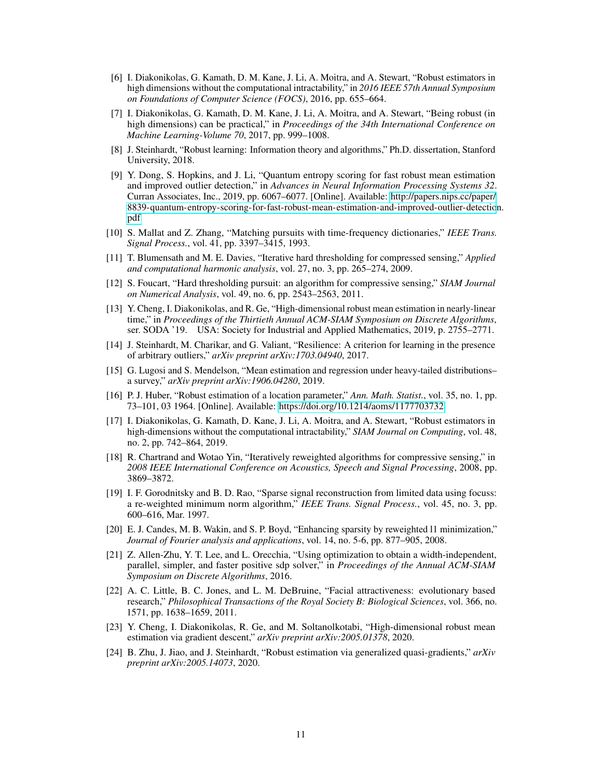- <span id="page-10-0"></span>[6] I. Diakonikolas, G. Kamath, D. M. Kane, J. Li, A. Moitra, and A. Stewart, "Robust estimators in high dimensions without the computational intractability," in *2016 IEEE 57th Annual Symposium on Foundations of Computer Science (FOCS)*, 2016, pp. 655–664.
- <span id="page-10-1"></span>[7] I. Diakonikolas, G. Kamath, D. M. Kane, J. Li, A. Moitra, and A. Stewart, "Being robust (in high dimensions) can be practical," in *Proceedings of the 34th International Conference on Machine Learning-Volume 70*, 2017, pp. 999–1008.
- <span id="page-10-2"></span>[8] J. Steinhardt, "Robust learning: Information theory and algorithms," Ph.D. dissertation, Stanford University, 2018.
- <span id="page-10-3"></span>[9] Y. Dong, S. Hopkins, and J. Li, "Quantum entropy scoring for fast robust mean estimation and improved outlier detection," in *Advances in Neural Information Processing Systems 32*. Curran Associates, Inc., 2019, pp. 6067–6077. [Online]. Available: [http://papers.nips.cc/paper/](http://papers.nips.cc/paper/8839-quantum-entropy-scoring-for-fast-robust-mean-estimation-and-improved-outlier-detection.pdf) [8839-quantum-entropy-scoring-for-fast-robust-mean-estimation-and-improved-outlier-detectio](http://papers.nips.cc/paper/8839-quantum-entropy-scoring-for-fast-robust-mean-estimation-and-improved-outlier-detection.pdf)n. [pdf](http://papers.nips.cc/paper/8839-quantum-entropy-scoring-for-fast-robust-mean-estimation-and-improved-outlier-detection.pdf)
- <span id="page-10-4"></span>[10] S. Mallat and Z. Zhang, "Matching pursuits with time-frequency dictionaries," *IEEE Trans. Signal Process.*, vol. 41, pp. 3397–3415, 1993.
- <span id="page-10-5"></span>[11] T. Blumensath and M. E. Davies, "Iterative hard thresholding for compressed sensing," *Applied and computational harmonic analysis*, vol. 27, no. 3, pp. 265–274, 2009.
- <span id="page-10-6"></span>[12] S. Foucart, "Hard thresholding pursuit: an algorithm for compressive sensing," *SIAM Journal on Numerical Analysis*, vol. 49, no. 6, pp. 2543–2563, 2011.
- <span id="page-10-7"></span>[13] Y. Cheng, I. Diakonikolas, and R. Ge, "High-dimensional robust mean estimation in nearly-linear time," in *Proceedings of the Thirtieth Annual ACM-SIAM Symposium on Discrete Algorithms*, ser. SODA '19. USA: Society for Industrial and Applied Mathematics, 2019, p. 2755–2771.
- <span id="page-10-8"></span>[14] J. Steinhardt, M. Charikar, and G. Valiant, "Resilience: A criterion for learning in the presence of arbitrary outliers," *arXiv preprint arXiv:1703.04940*, 2017.
- <span id="page-10-9"></span>[15] G. Lugosi and S. Mendelson, "Mean estimation and regression under heavy-tailed distributions– a survey," *arXiv preprint arXiv:1906.04280*, 2019.
- <span id="page-10-10"></span>[16] P. J. Huber, "Robust estimation of a location parameter," *Ann. Math. Statist.*, vol. 35, no. 1, pp. 73–101, 03 1964. [Online]. Available:<https://doi.org/10.1214/aoms/1177703732>
- <span id="page-10-11"></span>[17] I. Diakonikolas, G. Kamath, D. Kane, J. Li, A. Moitra, and A. Stewart, "Robust estimators in high-dimensions without the computational intractability," *SIAM Journal on Computing*, vol. 48, no. 2, pp. 742–864, 2019.
- <span id="page-10-12"></span>[18] R. Chartrand and Wotao Yin, "Iteratively reweighted algorithms for compressive sensing," in *2008 IEEE International Conference on Acoustics, Speech and Signal Processing*, 2008, pp. 3869–3872.
- <span id="page-10-13"></span>[19] I. F. Gorodnitsky and B. D. Rao, "Sparse signal reconstruction from limited data using focuss: a re-weighted minimum norm algorithm," *IEEE Trans. Signal Process.*, vol. 45, no. 3, pp. 600–616, Mar. 1997.
- <span id="page-10-14"></span>[20] E. J. Candes, M. B. Wakin, and S. P. Boyd, "Enhancing sparsity by reweighted l1 minimization," *Journal of Fourier analysis and applications*, vol. 14, no. 5-6, pp. 877–905, 2008.
- <span id="page-10-15"></span>[21] Z. Allen-Zhu, Y. T. Lee, and L. Orecchia, "Using optimization to obtain a width-independent, parallel, simpler, and faster positive sdp solver," in *Proceedings of the Annual ACM-SIAM Symposium on Discrete Algorithms*, 2016.
- <span id="page-10-16"></span>[22] A. C. Little, B. C. Jones, and L. M. DeBruine, "Facial attractiveness: evolutionary based research," *Philosophical Transactions of the Royal Society B: Biological Sciences*, vol. 366, no. 1571, pp. 1638–1659, 2011.
- <span id="page-10-17"></span>[23] Y. Cheng, I. Diakonikolas, R. Ge, and M. Soltanolkotabi, "High-dimensional robust mean estimation via gradient descent," *arXiv preprint arXiv:2005.01378*, 2020.
- <span id="page-10-18"></span>[24] B. Zhu, J. Jiao, and J. Steinhardt, "Robust estimation via generalized quasi-gradients," *arXiv preprint arXiv:2005.14073*, 2020.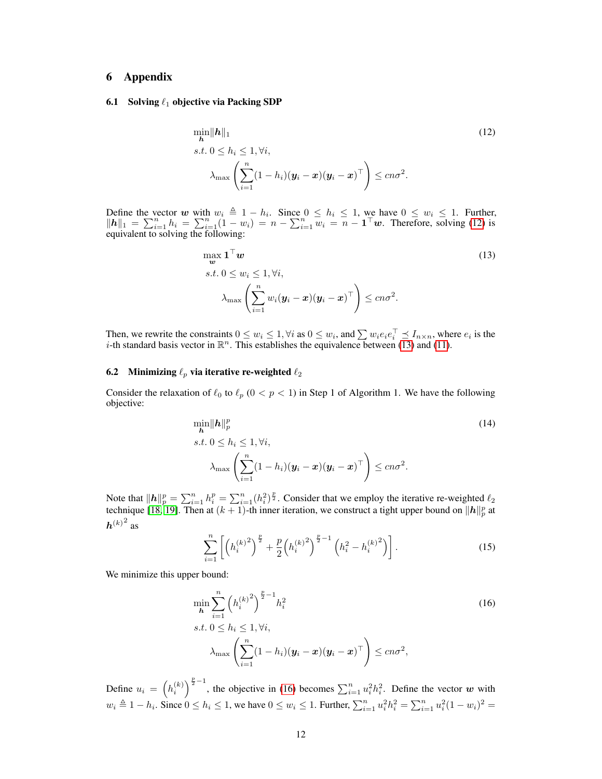## 6 Appendix

#### 6.1 Solving  $\ell_1$  objective via Packing SDP

<span id="page-11-0"></span>
$$
\min_{\mathbf{h}} \|\mathbf{h}\|_{1}
$$
\n
$$
s.t. 0 \le h_{i} \le 1, \forall i,
$$
\n
$$
\lambda_{\max} \left( \sum_{i=1}^{n} (1 - h_{i}) (\mathbf{y}_{i} - \mathbf{x})(\mathbf{y}_{i} - \mathbf{x})^{\top} \right) \le cn\sigma^{2}.
$$
\n(12)

Define the vector w with  $w_i \triangleq 1 - h_i$ . Since  $0 \le h_i \le 1$ , we have  $0 \le w_i \le 1$ . Further,  $||h||_1 = \sum_{i=1}^n h_i = \sum_{i=1}^n (1 - w_i) = n - \sum_{i=1}^n w_i = n - \mathbf{1}^\top w$ . Therefore, solving [\(12\)](#page-11-0) is equivalent to solving the following:

<span id="page-11-1"></span>
$$
\max_{\mathbf{w}} \mathbf{1}^{\top} \mathbf{w}
$$
\n
$$
s.t. \ 0 \le w_i \le 1, \forall i,
$$
\n
$$
\lambda_{\max} \left( \sum_{i=1}^n w_i (\mathbf{y}_i - \mathbf{x}) (\mathbf{y}_i - \mathbf{x})^{\top} \right) \le cn\sigma^2.
$$
\n(13)

Then, we rewrite the constraints  $0 \le w_i \le 1$ ,  $\forall i$  as  $0 \le w_i$ , and  $\sum w_i e_i e_i^\top \preceq I_{n \times n}$ , where  $e_i$  is the *i*-th standard basis vector in  $\mathbb{R}^n$ . This establishes the equivalence between [\(13\)](#page-11-1) and [\(11\)](#page-6-2).

#### 6.2 Minimizing  $\ell_p$  via iterative re-weighted  $\ell_2$

Consider the relaxation of  $\ell_0$  to  $\ell_p$  ( $0 < p < 1$ ) in Step 1 of Algorithm 1. We have the following objective:

$$
\min_{\mathbf{h}} \|\mathbf{h}\|_{p}^{p}
$$
\n
$$
s.t. \ 0 \leq h_{i} \leq 1, \forall i,
$$
\n
$$
\lambda_{\max} \left( \sum_{i=1}^{n} (1 - h_{i}) (\mathbf{y}_{i} - \mathbf{x})(\mathbf{y}_{i} - \mathbf{x})^{\top} \right) \leq cn\sigma^{2}.
$$
\n(14)

Note that  $\|\mathbf{h}\|_p^p = \sum_{i=1}^n h_i^p = \sum_{i=1}^n (h_i^2)^{\frac{p}{2}}$ . Consider that we employ the iterative re-weighted  $\ell_2$ technique [\[18,](#page-10-12) [19\]](#page-10-13). Then at  $(k + 1)$ -th inner iteration, we construct a tight upper bound on  $||h||_p^p$  at  ${\boldsymbol h}^{(k)^2}$  as

<span id="page-11-2"></span>
$$
\sum_{i=1}^{n} \left[ \left( h_i^{(k)} \right)^{\frac{p}{2}} + \frac{p}{2} \left( h_i^{(k)} \right)^{\frac{p}{2}-1} \left( h_i^2 - h_i^{(k)} \right)^2 \right]. \tag{15}
$$

We minimize this upper bound:

$$
\min_{\boldsymbol{h}} \sum_{i=1}^{n} \left( h_i^{(k)} \right)^{\frac{p}{2}-1} h_i^2
$$
\n
$$
s.t. \ 0 \le h_i \le 1, \forall i,
$$
\n
$$
\lambda_{\max} \left( \sum_{i=1}^{n} (1-h_i)(\mathbf{y}_i - \mathbf{x})(\mathbf{y}_i - \mathbf{x})^\top \right) \le c n \sigma^2,
$$
\n(16)

Define  $u_i = \left(h_i^{(k)}\right)^{\frac{p}{2}-1}$ , the objective in [\(16\)](#page-11-2) becomes  $\sum_{i=1}^n u_i^2 h_i^2$ . Define the vector w with  $w_i \triangleq 1 - h_i$ . Since  $0 \le h_i \le 1$ , we have  $0 \le w_i \le 1$ . Further,  $\sum_{i=1}^n u_i^2 h_i^2 = \sum_{i=1}^n u_i^2 (1 - w_i)^2 =$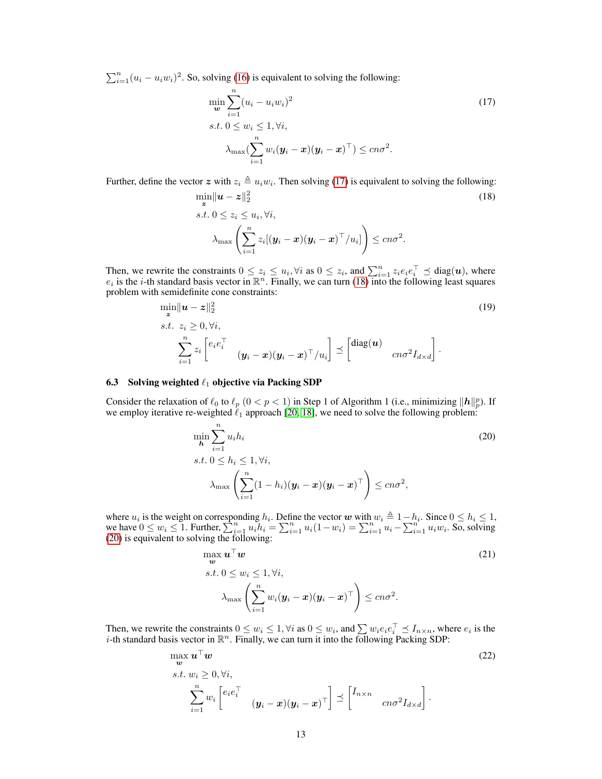$\sum_{i=1}^{n} (u_i - u_i w_i)^2$ . So, solving [\(16\)](#page-11-2) is equivalent to solving the following:

<span id="page-12-0"></span>
$$
\min_{\mathbf{w}} \sum_{i=1}^{n} (u_i - u_i w_i)^2
$$
\n
$$
s.t. 0 \le w_i \le 1, \forall i,
$$
\n
$$
\lambda_{\max} (\sum_{i=1}^{n} w_i (\mathbf{y}_i - \mathbf{x}) (\mathbf{y}_i - \mathbf{x})^{\top}) \le cn\sigma^2.
$$
\n(17)

Further, define the vector  $z$  with  $z_i \triangleq u_i w_i$ . Then solving [\(17\)](#page-12-0) is equivalent to solving the following:

<span id="page-12-1"></span>
$$
\min_{\mathbf{z}} \|\mathbf{u} - \mathbf{z}\|_{2}^{2}
$$
\n
$$
s.t. \ 0 \le z_{i} \le u_{i}, \forall i,
$$
\n
$$
\lambda_{\max} \left( \sum_{i=1}^{n} z_{i} [(\mathbf{y}_{i} - \mathbf{x})(\mathbf{y}_{i} - \mathbf{x})^{\top}/u_{i}] \right) \le cn\sigma^{2}.
$$
\n(18)

Then, we rewrite the constraints  $0 \le z_i \le u_i$ ,  $\forall i$  as  $0 \le z_i$ , and  $\sum_{i=1}^n z_i e_i e_i^\top \preceq \text{diag}(u)$ , where  $e_i$  is the *i*-th standard basis vector in  $\mathbb{R}^n$ . Finally, we can turn [\(18\)](#page-12-1) into the following least squares problem with semidefinite cone constraints:

$$
\min_{\mathbf{z}} \|\mathbf{u} - \mathbf{z}\|_{2}^{2}
$$
\n
$$
s.t. z_{i} \geq 0, \forall i,
$$
\n
$$
\sum_{i=1}^{n} z_{i} \begin{bmatrix} e_{i}e_{i}^{\top} \\ (y_{i} - \mathbf{x})(\mathbf{y}_{i} - \mathbf{x})^{\top}/u_{i} \end{bmatrix} \preceq \begin{bmatrix} \text{diag}(\mathbf{u}) \\ cn\sigma^{2}I_{d\times d} \end{bmatrix}.
$$
\n(19)

#### 6.3 Solving weighted  $\ell_1$  objective via Packing SDP

Consider the relaxation of  $\ell_0$  to  $\ell_p$   $(0 < p < 1)$  in Step 1 of Algorithm 1 (i.e., minimizing  $||h||_p^p$ ). If we employ iterative re-weighted  $\ell_1$  approach [\[20,](#page-10-14) [18\]](#page-10-12), we need to solve the following problem:

<span id="page-12-2"></span>
$$
\min_{\mathbf{h}} \sum_{i=1}^{n} u_i h_i
$$
\n
$$
s.t. 0 \le h_i \le 1, \forall i,
$$
\n
$$
\lambda_{\max} \left( \sum_{i=1}^{n} (1 - h_i) (\mathbf{y}_i - \mathbf{x}) (\mathbf{y}_i - \mathbf{x})^\top \right) \le c n \sigma^2,
$$
\n(20)

where  $u_i$  is the weight on corresponding  $h_i$ . Define the vector w with  $w_i \triangleq 1 - h_i$ . Since  $0 \le h_i \le 1$ , we have  $0 \le w_i \le 1$ . Further,  $\sum_{i=1}^{n} u_i h_i = \sum_{i=1}^{n} u_i (1 - w_i) = \sum_{i=1}^{n} u_i - \sum_{i=1}^{n} u_i w_i$ . So, solving [\(20\)](#page-12-2) is equivalent to solving the following:

$$
\max_{\mathbf{w}} \mathbf{u}^{\top} \mathbf{w}
$$
\n
$$
s.t. 0 \le w_i \le 1, \forall i,
$$
\n
$$
\lambda_{\max} \left( \sum_{i=1}^n w_i (\mathbf{y}_i - \mathbf{x}) (\mathbf{y}_i - \mathbf{x})^{\top} \right) \le cn\sigma^2.
$$
\n(21)

Then, we rewrite the constraints  $0 \le w_i \le 1$ ,  $\forall i$  as  $0 \le w_i$ , and  $\sum w_i e_i e_i^\top \preceq I_{n \times n}$ , where  $e_i$  is the *i*-th standard basis vector in  $\mathbb{R}^n$ . Finally, we can turn it into the following Packing SDP:

$$
\max_{\mathbf{w}} \mathbf{u}^{\top} \mathbf{w}
$$
\n
$$
s.t. w_i \geq 0, \forall i,
$$
\n
$$
\sum_{i=1}^{n} w_i \begin{bmatrix} e_i e_i^{\top} \\ (y_i - \mathbf{x})(y_i - \mathbf{x})^{\top} \end{bmatrix} \preceq \begin{bmatrix} I_{n \times n} \\ cn \sigma^2 I_{d \times d} \end{bmatrix}.
$$
\n
$$
(22)
$$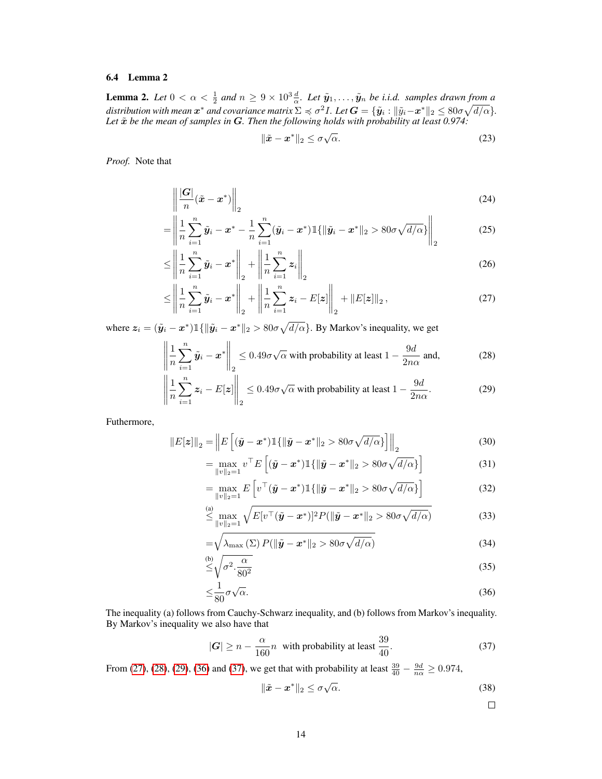### <span id="page-13-1"></span>6.4 Lemma 2

<span id="page-13-0"></span>**Lemma 2.** Let  $0 < \alpha < \frac{1}{2}$  and  $n \ge 9 \times 10^3 \frac{d}{\alpha}$ . Let  $\tilde{\mathbf{y}}_1, \ldots, \tilde{\mathbf{y}}_n$  be i.i.d. samples drawn from a distribution with mean  $\bm{x}^*$  and covariance matrix  $\Sigma\preccurlyeq \sigma^2 I$ . Let  $\bm{G}=\{\tilde{\bm{y}}_i:\|\tilde{y}_i-\bm{x}^*\|_2\leq 80\sigma\sqrt{d/\alpha}\}.$ Let  $\tilde{x}$  *be the mean of samples in* G. Then the following holds with probability at least 0.974:

<span id="page-13-5"></span>
$$
\|\tilde{x} - x^*\|_2 \le \sigma \sqrt{\alpha}.\tag{23}
$$

*Proof.* Note that

$$
\left\| \frac{|\mathbf{G}|}{n} (\tilde{\boldsymbol{x}} - \boldsymbol{x}^*) \right\|_2 \tag{24}
$$

$$
= \left\| \frac{1}{n} \sum_{i=1}^{n} \tilde{y}_i - x^* - \frac{1}{n} \sum_{i=1}^{n} (\tilde{y}_i - x^*) \mathbb{1} \{ \|\tilde{y}_i - x^*\|_2 > 80\sigma \sqrt{d/\alpha} \} \right\|_2
$$
(25)

$$
\leq \left\| \frac{1}{n} \sum_{i=1}^{n} \tilde{\mathbf{y}}_i - \mathbf{x}^* \right\|_2 + \left\| \frac{1}{n} \sum_{i=1}^{n} \mathbf{z}_i \right\|_2 \tag{26}
$$

$$
\leq \left\| \frac{1}{n} \sum_{i=1}^{n} \tilde{\mathbf{y}}_i - \mathbf{x}^* \right\|_2 + \left\| \frac{1}{n} \sum_{i=1}^{n} \mathbf{z}_i - E[\mathbf{z}] \right\|_2 + \left\| E[\mathbf{z}] \right\|_2, \tag{27}
$$

where  $z_i = (\tilde{y}_i - x^*) \mathbb{1}\{ \|\tilde{y}_i - x^*\|_2 > 80\sigma\sqrt{d/\alpha} \}$ . By Markov's inequality, we get

$$
\left\| \frac{1}{n} \sum_{i=1}^{n} \tilde{\mathbf{y}}_i - \mathbf{x}^* \right\|_2 \le 0.49 \sigma \sqrt{\alpha} \text{ with probability at least } 1 - \frac{9d}{2n\alpha} \text{ and,}
$$
 (28)

$$
\left\| \frac{1}{n} \sum_{i=1}^{n} z_i - E[z] \right\|_2 \le 0.49 \sigma \sqrt{\alpha} \text{ with probability at least } 1 - \frac{9d}{2n\alpha}.
$$
 (29)

Futhermore,

$$
||E[\boldsymbol{z}]]||_2 = \left||E\left[(\tilde{\boldsymbol{y}} - \boldsymbol{x}^*)\mathbb{1}\{\|\tilde{\boldsymbol{y}} - \boldsymbol{x}^*\|_2 > 80\sigma\sqrt{d/\alpha}\}\right]\right||_2\tag{30}
$$

<span id="page-13-3"></span><span id="page-13-2"></span>
$$
= \max_{\|v\|_2=1} v^\top E\left[ (\tilde{\boldsymbol{y}} - \boldsymbol{x}^*) \mathbb{1}\{\|\tilde{\boldsymbol{y}} - \boldsymbol{x}^*\|_2 > 80\sigma \sqrt{d/\alpha} \} \right] \tag{31}
$$

$$
= \max_{\|v\|_2=1} E\left[v^\top (\tilde{\boldsymbol{y}} - \boldsymbol{x}^*) \mathbb{1}\{\|\tilde{\boldsymbol{y}} - \boldsymbol{x}^*\|_2 > 80\sigma \sqrt{d/\alpha}\}\right]
$$
(32)

$$
\overset{\text{(a)}}{\leq} \max_{\|v\|_2=1} \sqrt{E[v^\top(\tilde{\boldsymbol{y}}-\boldsymbol{x}^*)]^2 P(\|\tilde{\boldsymbol{y}}-\boldsymbol{x}^*\|_2) \cdot 80\sigma\sqrt{d/\alpha}} \tag{33}
$$

$$
= \sqrt{\lambda_{\max}(\Sigma) P(\|\tilde{\mathbf{y}} - \mathbf{x}^*\|_2) \delta 0 \sigma \sqrt{d/\alpha}} \tag{34}
$$

$$
\stackrel{\text{(b)}}{\leq} \sqrt{\sigma^2 \cdot \frac{\alpha}{80^2}} \tag{35}
$$

$$
\leq \frac{1}{80}\sigma\sqrt{\alpha}.\tag{36}
$$

The inequality (a) follows from Cauchy-Schwarz inequality, and (b) follows from Markov's inequality. By Markov's inequality we also have that

$$
|\mathbf{G}| \ge n - \frac{\alpha}{160}n \quad \text{with probability at least } \frac{39}{40}.\tag{37}
$$

From [\(27\)](#page-13-5), [\(28\)](#page-13-2), [\(29\)](#page-13-3), [\(36\)](#page-13-6) and [\(37\)](#page-13-4), we get that with probability at least  $\frac{39}{40} - \frac{9d}{n\alpha} \ge 0.974$ ,

<span id="page-13-4"></span>
$$
\|\tilde{\boldsymbol{x}} - \boldsymbol{x}^*\|_2 \le \sigma \sqrt{\alpha}.\tag{38}
$$

<span id="page-13-6"></span> $\Box$